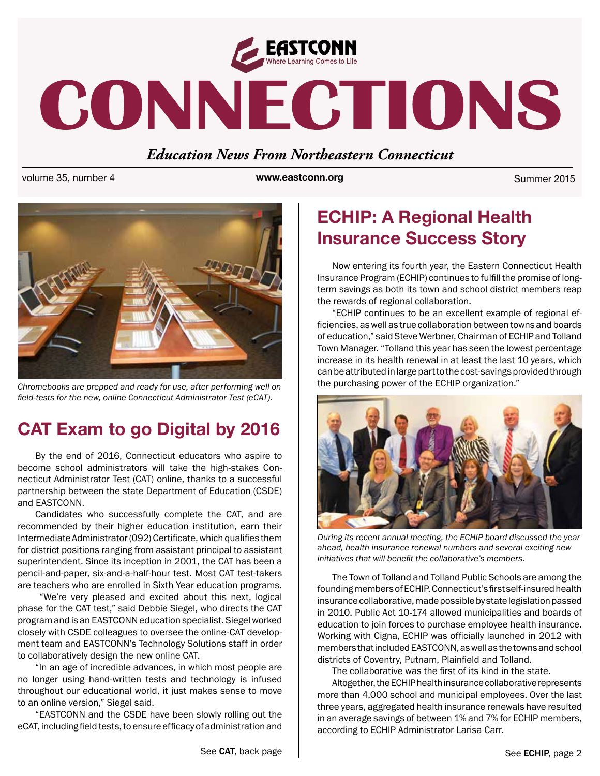

# CONNECTIONS

## *Education News From Northeastern Connecticut*

volume 35, number 4 **www.eastconn.org** Summer 2015



*Chromebooks are prepped and ready for use, after performing well on feld-tests for the new, online Connecticut Administrator Test (eCAT).* 

# **CAT Exam to go Digital by 2016**

By the end of 2016, Connecticut educators who aspire to become school administrators will take the high-stakes Connecticut Administrator Test (CAT) online, thanks to a successful partnership between the state Department of Education (CSDE) and EASTCONN.

Candidates who successfully complete the CAT, and are recommended by their higher education institution, earn their Intermediate Administrator (092) Certifcate, which qualifes them for district positions ranging from assistant principal to assistant superintendent. Since its inception in 2001, the CAT has been a pencil-and-paper, six-and-a-half-hour test. Most CAT test-takers are teachers who are enrolled in Sixth Year education programs.

 "We're very pleased and excited about this next, logical phase for the CAT test," said Debbie Siegel, who directs the CAT program and is an EASTCONN education specialist. Siegel worked closely with CSDE colleagues to oversee the online-CAT development team and EASTCONN's Technology Solutions staff in order to collaboratively design the new online CAT.

"In an age of incredible advances, in which most people are no longer using hand-written tests and technology is infused throughout our educational world, it just makes sense to move to an online version," Siegel said.

"EASTCONN and the CSDE have been slowly rolling out the eCAT, including field tests, to ensure efficacy of administration and

# **ECHIP: A Regional Health Insurance Success Story**

Now entering its fourth year, the Eastern Connecticut Health Insurance Program (ECHIP) continues to fulfll the promise of longterm savings as both its town and school district members reap the rewards of regional collaboration.

"ECHIP continues to be an excellent example of regional effciencies, as well as true collaboration between towns and boards of education," said Steve Werbner, Chairman of ECHIP and Tolland Town Manager. "Tolland this year has seen the lowest percentage increase in its health renewal in at least the last 10 years, which can be attributed in large part to the cost-savings provided through the purchasing power of the ECHIP organization."



*During its recent annual meeting, the ECHIP board discussed the year ahead, health insurance renewal numbers and several exciting new initiatives that will beneft the collaborative's members.*

The Town of Tolland and Tolland Public Schools are among the founding members of ECHIP, Connecticut's first self-insured health insurance collaborative, made possible by state legislation passed in 2010. Public Act 10-174 allowed municipalities and boards of education to join forces to purchase employee health insurance. Working with Cigna, ECHIP was officially launched in 2012 with members that included EASTCONN, as well as the towns and school districts of Coventry, Putnam, Plainfeld and Tolland.

The collaborative was the first of its kind in the state.

Altogether, the ECHIP health insurance collaborative represents more than 4,000 school and municipal employees. Over the last three years, aggregated health insurance renewals have resulted in an average savings of between 1% and 7% for ECHIP members, according to ECHIP Administrator Larisa Carr.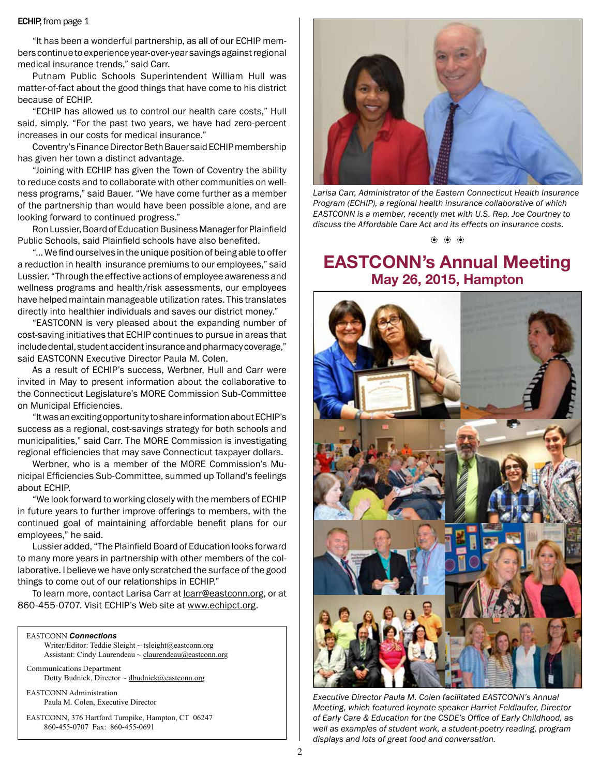#### **ECHIP**, from page 1

"It has been a wonderful partnership, as all of our ECHIP members continue to experience year-over-year savings against regional medical insurance trends," said Carr.

Putnam Public Schools Superintendent William Hull was matter-of-fact about the good things that have come to his district because of ECHIP.

"ECHIP has allowed us to control our health care costs," Hull said, simply. "For the past two years, we have had zero-percent increases in our costs for medical insurance."

Coventry's Finance Director Beth Bauer said ECHIP membership has given her town a distinct advantage.

"Joining with ECHIP has given the Town of Coventry the ability to reduce costs and to collaborate with other communities on wellness programs," said Bauer. "We have come further as a member of the partnership than would have been possible alone, and are looking forward to continued progress."

Ron Lussier, Board of Education Business Manager for Plainfeld Public Schools, said Plainfield schools have also benefited.

"… We fnd ourselves in the unique position of being able to offer a reduction in health insurance premiums to our employees," said Lussier. "Through the effective actions of employee awareness and wellness programs and health/risk assessments, our employees have helped maintain manageable utilization rates. This translates directly into healthier individuals and saves our district money."

"EASTCONN is very pleased about the expanding number of cost-saving initiatives that ECHIP continues to pursue in areas that include dental, student accident insurance and pharmacy coverage," said EASTCONN Executive Director Paula M. Colen.

As a result of ECHIP's success, Werbner, Hull and Carr were invited in May to present information about the collaborative to the Connecticut Legislature's MORE Commission Sub-Committee on Municipal Efficiencies.

"It was an exciting opportunity to share information about ECHIP's success as a regional, cost-savings strategy for both schools and municipalities," said Carr. The MORE Commission is investigating regional efficiencies that may save Connecticut taxpayer dollars.

Werbner, who is a member of the MORE Commission's Municipal Effciencies Sub-Committee, summed up Tolland's feelings about ECHIP.

"We look forward to working closely with the members of ECHIP in future years to further improve offerings to members, with the continued goal of maintaining affordable beneft plans for our employees," he said.

Lussier added, "The Plainfeld Board of Education looks forward to many more years in partnership with other members of the collaborative. I believe we have only scratched the surface of the good things to come out of our relationships in ECHIP."

To learn more, contact Larisa Carr at [lcarr@eastconn.org,](mailto:lcarr@eastconn.org) or at 860-455-0707. Visit ECHIP's Web site at [www.echipct.org](http://www.echipct.org).

#### EASTCONN *Connections*

Writer/Editor: Teddie Sleight ~ tsleight@eastconn.org Assistant: Cindy Laurendeau ~ [claurendeau@eastconn.org](mailto:claurendeau@eastconn.org)

[Communications Department](%20mailto:connections@eastconn.org) [Dotty Budnick](mailto:dbudnick@eastconn.org), Director ~ dbudnick@eastconn.org

EASTCONN Administration Paula M. Colen, Executive Director

EASTCONN, 376 Hartford Turnpike, Hampton, CT 06247 860-455-0707 Fax: 860-455-0691



*Larisa Carr, Administrator of the Eastern Connecticut Health Insurance Program (ECHIP), a regional health insurance collaborative of which EASTCONN is a member, recently met with U.S. Rep. Joe Courtney to discuss the Affordable Care Act and its effects on insurance costs.*

b b b

## **EASTCONN's Annual Meeting May 26, 2015, Hampton**



*Executive Director Paula M. Colen facilitated EASTCONN's Annual Meeting, which featured keynote speaker Harriet Feldlaufer, Director of Early Care & Education for the CSDE's Offce of Early Childhood, as well as examples of student work, a student-poetry reading, program displays and lots of great food and conversation.*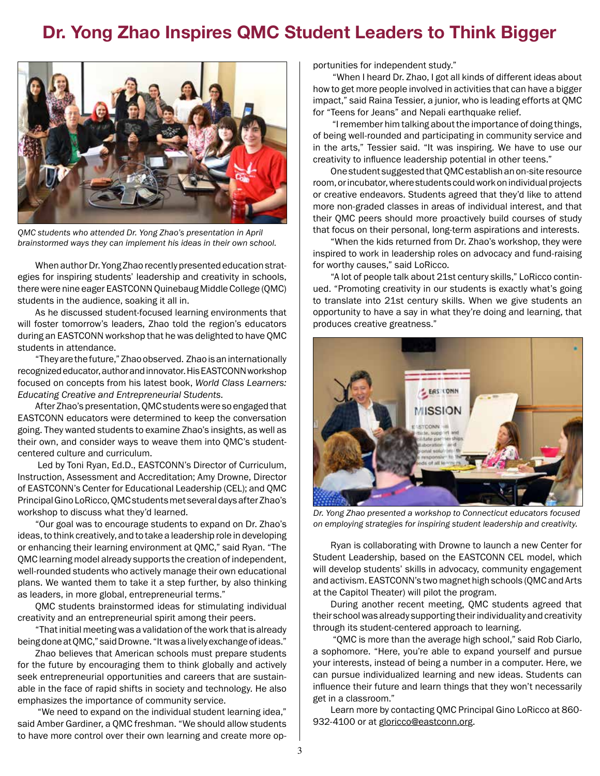# **Dr. Yong Zhao Inspires QMC Student Leaders to Think Bigger**



*QMC students who attended Dr. Yong Zhao's presentation in April brainstormed ways they can implement his ideas in their own school.* 

When author Dr. Yong Zhao recently presented education strategies for inspiring students' leadership and creativity in schools, there were nine eager EASTCONN Quinebaug Middle College (QMC) students in the audience, soaking it all in.

As he discussed student-focused learning environments that will foster tomorrow's leaders, Zhao told the region's educators during an EASTCONN workshop that he was delighted to have QMC students in attendance.

"They are the future," Zhao observed. Zhao is an internationally recognized educator, author and innovator. His EASTCONN workshop focused on concepts from his latest book, *World Class Learners: Educating Creative and Entrepreneurial Students.* 

After Zhao's presentation, QMC students were so engaged that EASTCONN educators were determined to keep the conversation going. They wanted students to examine Zhao's insights, as well as their own, and consider ways to weave them into QMC's studentcentered culture and curriculum.

 Led by Toni Ryan, Ed.D., EASTCONN's Director of Curriculum, Instruction, Assessment and Accreditation; Amy Drowne, Director of EASTCONN's Center for Educational Leadership (CEL); and QMC Principal Gino LoRicco, QMC students met several days after Zhao's workshop to discuss what they'd learned.

"Our goal was to encourage students to expand on Dr. Zhao's ideas, to think creatively, and to take a leadership role in developing or enhancing their learning environment at QMC," said Ryan. "The QMC learning model already supports the creation of independent, well-rounded students who actively manage their own educational plans. We wanted them to take it a step further, by also thinking as leaders, in more global, entrepreneurial terms."

QMC students brainstormed ideas for stimulating individual creativity and an entrepreneurial spirit among their peers.

"That initial meeting was a validation of the work that is already being done at QMC," said Drowne. "It was a lively exchange of ideas."

Zhao believes that American schools must prepare students for the future by encouraging them to think globally and actively seek entrepreneurial opportunities and careers that are sustainable in the face of rapid shifts in society and technology. He also emphasizes the importance of community service.

 "We need to expand on the individual student learning idea," said Amber Gardiner, a QMC freshman. "We should allow students to have more control over their own learning and create more opportunities for independent study."

 "When I heard Dr. Zhao, I got all kinds of different ideas about how to get more people involved in activities that can have a bigger impact," said Raina Tessier, a junior, who is leading efforts at QMC for "Teens for Jeans" and Nepali earthquake relief.

 "I remember him talking about the importance of doing things, of being well-rounded and participating in community service and in the arts," Tessier said. "It was inspiring. We have to use our creativity to infuence leadership potential in other teens."

One student suggested that QMC establish an on-site resource room, or incubator, where students could work on individual projects or creative endeavors. Students agreed that they'd like to attend more non-graded classes in areas of individual interest, and that their QMC peers should more proactively build courses of study that focus on their personal, long-term aspirations and interests.

"When the kids returned from Dr. Zhao's workshop, they were inspired to work in leadership roles on advocacy and fund-raising for worthy causes," said LoRicco.

"A lot of people talk about 21st century skills," LoRicco continued. "Promoting creativity in our students is exactly what's going to translate into 21st century skills. When we give students an opportunity to have a say in what they're doing and learning, that produces creative greatness."



*Dr. Yong Zhao presented a workshop to Connecticut educators focused on employing strategies for inspiring student leadership and creativity.* 

Ryan is collaborating with Drowne to launch a new Center for Student Leadership, based on the EASTCONN CEL model, which will develop students' skills in advocacy, community engagement and activism. EASTCONN's two magnet high schools (QMC and Arts at the Capitol Theater) will pilot the program.

During another recent meeting, QMC students agreed that their school was already supporting their individuality and creativity through its student-centered approach to learning.

 "QMC is more than the average high school," said Rob Ciarlo, a sophomore. "Here, you're able to expand yourself and pursue your interests, instead of being a number in a computer. Here, we can pursue individualized learning and new ideas. Students can infuence their future and learn things that they won't necessarily get in a classroom."

Learn more by contacting QMC Principal Gino LoRicco at 860 932-4100 or at g[loricco@eastconn.org.](mailto:gloricco@eastconn.org)